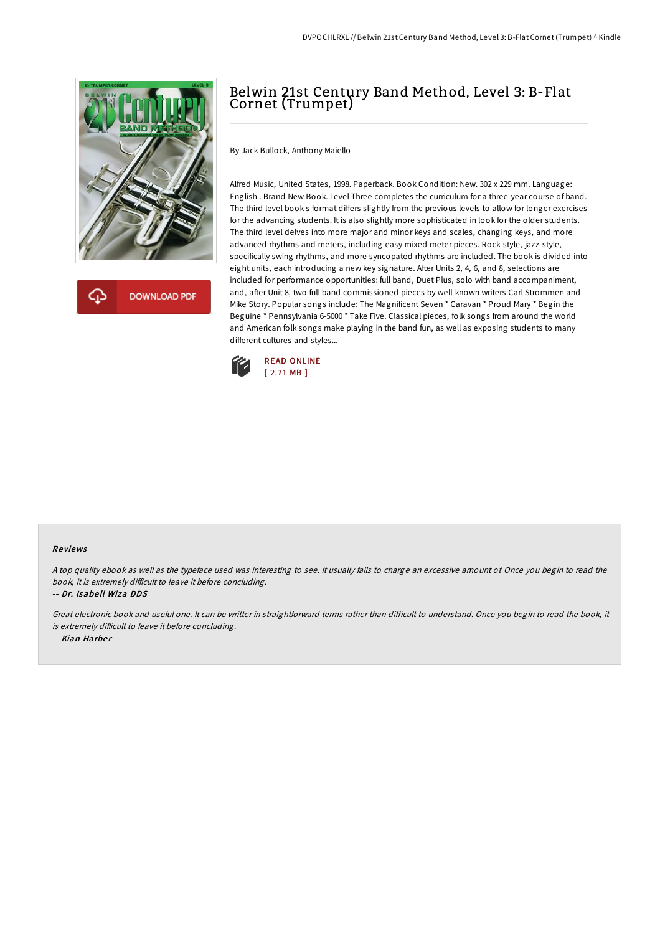

**DOWNLOAD PDF** 

## Belwin 21st Century Band Method, Level 3: B-Flat Cornet (Trumpet)

By Jack Bullock, Anthony Maiello

Alfred Music, United States, 1998. Paperback. Book Condition: New. 302 x 229 mm. Language: English . Brand New Book. Level Three completes the curriculum for a three-year course of band. The third level book s format differs slightly from the previous levels to allow for longer exercises for the advancing students. It is also slightly more sophisticated in look for the older students. The third level delves into more major and minor keys and scales, changing keys, and more advanced rhythms and meters, including easy mixed meter pieces. Rock-style, jazz-style, specifically swing rhythms, and more syncopated rhythms are included. The book is divided into eight units, each introducing a new key signature. After Units 2, 4, 6, and 8, selections are included for performance opportunities: full band, Duet Plus, solo with band accompaniment, and, after Unit 8, two full band commissioned pieces by well-known writers Carl Strommen and Mike Story. Popular songs include: The Magnificent Seven \* Caravan \* Proud Mary \* Begin the Beguine \* Pennsylvania 6-5000 \* Take Five. Classical pieces, folk songs from around the world and American folk songs make playing in the band fun, as well as exposing students to many different cultures and styles...



## Re views

<sup>A</sup> top quality ebook as well as the typeface used was interesting to see. It usually fails to charge an excessive amount of. Once you begin to read the book, it is extremely difficult to leave it before concluding.

-- Dr. Isabe ll Wiza DDS

Great electronic book and useful one. It can be writter in straightforward terms rather than difficult to understand. Once you begin to read the book, it is extremely difficult to leave it before concluding.

-- Kian Harber